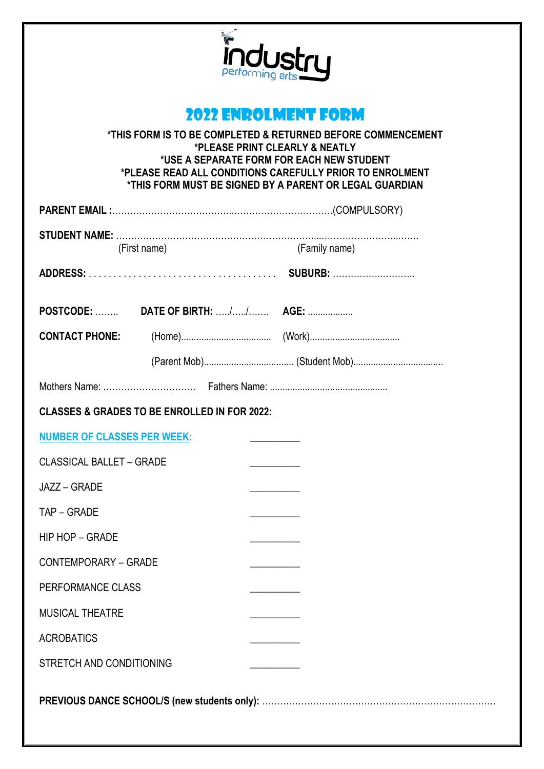

## 2022 ENROLMENT FORM

**\*THIS FORM IS TO BE COMPLETED & RETURNED BEFORE COMMENCEMENT \*PLEASE PRINT CLEARLY & NEATLY \*USE A SEPARATE FORM FOR EACH NEW STUDENT \*PLEASE READ ALL CONDITIONS CAREFULLY PRIOR TO ENROLMENT \*THIS FORM MUST BE SIGNED BY A PARENT OR LEGAL GUARDIAN**

| (First name)                                            |  |  | (Family name) |  |
|---------------------------------------------------------|--|--|---------------|--|
|                                                         |  |  |               |  |
|                                                         |  |  |               |  |
|                                                         |  |  |               |  |
|                                                         |  |  |               |  |
|                                                         |  |  |               |  |
| <b>CLASSES &amp; GRADES TO BE ENROLLED IN FOR 2022:</b> |  |  |               |  |
| <b>NUMBER OF CLASSES PER WEEK:</b>                      |  |  |               |  |
| <b>CLASSICAL BALLET - GRADE</b>                         |  |  |               |  |
| JAZZ - GRADE                                            |  |  |               |  |
| TAP – GRADE                                             |  |  |               |  |
| <b>HIP HOP - GRADE</b>                                  |  |  |               |  |
| <b>CONTEMPORARY - GRADE</b>                             |  |  |               |  |
| PERFORMANCE CLASS                                       |  |  |               |  |
| MUSICAL THEATRE                                         |  |  |               |  |
| <b>ACROBATICS</b>                                       |  |  |               |  |
| STRETCH AND CONDITIONING                                |  |  |               |  |
|                                                         |  |  |               |  |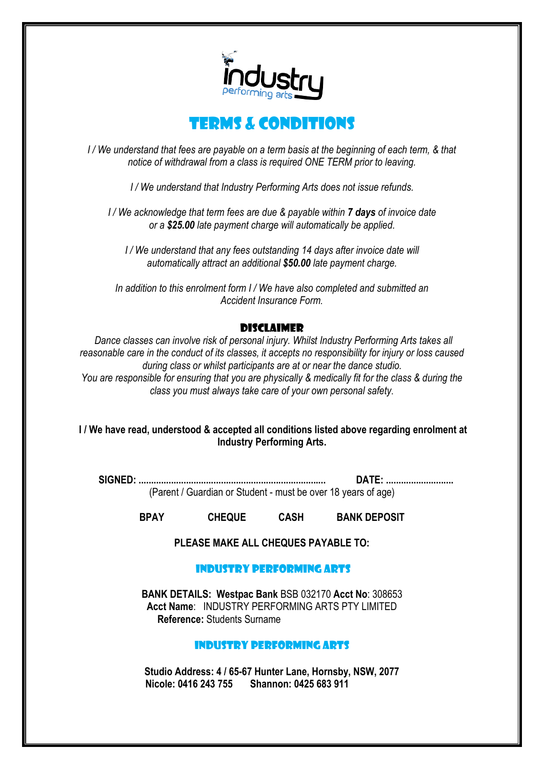



*I / We understand that fees are payable on a term basis at the beginning of each term, & that notice of withdrawal from a class is required ONE TERM prior to leaving.*

*I / We understand that Industry Performing Arts does not issue refunds.*

*I / We acknowledge that term fees are due & payable within 7 days of invoice date or a \$25.00 late payment charge will automatically be applied.*

*I / We understand that any fees outstanding 14 days after invoice date will automatically attract an additional \$50.00 late payment charge.*

*In addition to this enrolment form I / We have also completed and submitted an Accident Insurance Form.*

#### **DISCI AIMED**

*Dance classes can involve risk of personal injury. Whilst Industry Performing Arts takes all reasonable care in the conduct of its classes, it accepts no responsibility for injury or loss caused during class or whilst participants are at or near the dance studio. You are responsible for ensuring that you are physically & medically fit for the class & during the class you must always take care of your own personal safety.*

#### **I / We have read, understood & accepted all conditions listed above regarding enrolment at Industry Performing Arts.**

**SIGNED: ........................................................................... DATE: ...........................** (Parent / Guardian or Student - must be over 18 years of age)

**BPAY CHEQUE CASH BANK DEPOSIT**

**PLEASE MAKE ALL CHEQUES PAYABLE TO:**

#### Industry Performing Arts

**BANK DETAILS: Westpac Bank** BSB 032170 **Acct No**: 308653 **Acct Name**: INDUSTRY PERFORMING ARTS PTY LIMITED **Reference:** Students Surname

### INDUSTRY PERFORMING ARTS

**Studio Address: 4 / 65-67 Hunter Lane, Hornsby, NSW, 2077 Nicole: 0416 243 755 Shannon: 0425 683 911**